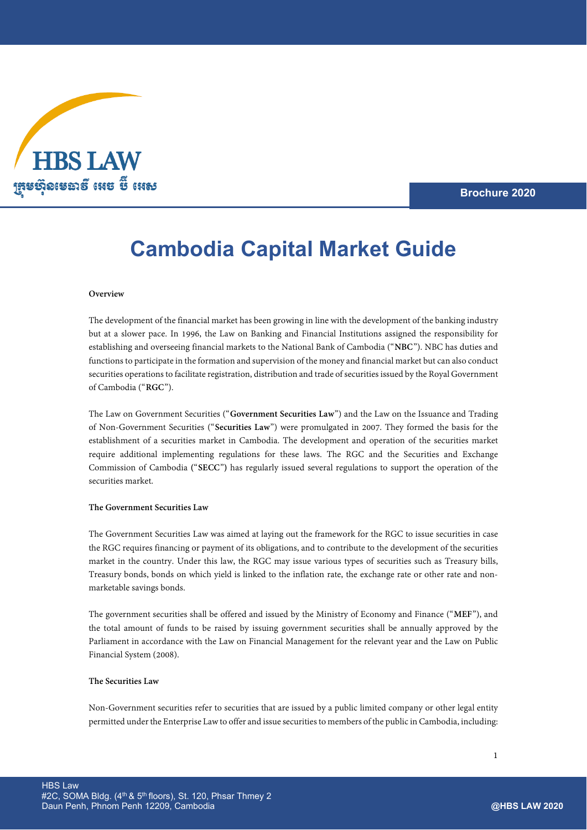

**Brochure 2020**

# **Cambodia Capital Market Guide**

#### **Overview**

The development of the financial market has been growing in line with the development of the banking industry but at a slower pace. In 1996, the Law on Banking and Financial Institutions assigned the responsibility for establishing and overseeing financial markets to th[e National Bank of Cambodia](https://www.nbc.org.kh/english/) ("**NBC**"). NBC has duties and functions to participate in the formation and supervision of the money and financial market but can also conduct securities operations to facilitate registration, distribution and trade of securities issued by the Royal Government of Cambodia ("**RGC**").

The Law on Government Securities ("**Government Securities Law**") and the Law on the Issuance and Trading of Non-Government Securities ("**Securities Law**") were promulgated in 2007. They formed the basis for the establishment of a securities market in Cambodia. The development and operation of the securities market require additional implementing regulations for these laws. The RGC and the Securities and Exchange Commission of Cambodia **(**"**SECC**"**)** has regularly issued several regulations to support the operation of the securities market.

#### **The Government Securities Law**

The Government Securities Law was aimed at laying out the framework for the RGC to issue securities in case the RGC requires financing or payment of its obligations, and to contribute to the development of the securities market in the country. Under this law, the RGC may issue various types of securities such as Treasury bills, Treasury bonds, bonds on which yield is linked to the inflation rate, the exchange rate or other rate and nonmarketable savings bonds.

The government securities shall be offered and issued by the Ministry of Economy and Finance ("**MEF**"), and the total amount of funds to be raised by issuing government securities shall be annually approved by the Parliament in accordance with the Law on Financial Management for the relevant year and the Law on Public Financial System (2008).

# **The Securities Law**

Non-Government securities refer to securities that are issued by a public limited company or other legal entity permitted under the Enterprise Law to offer and issue securities to members of the public in Cambodia, including: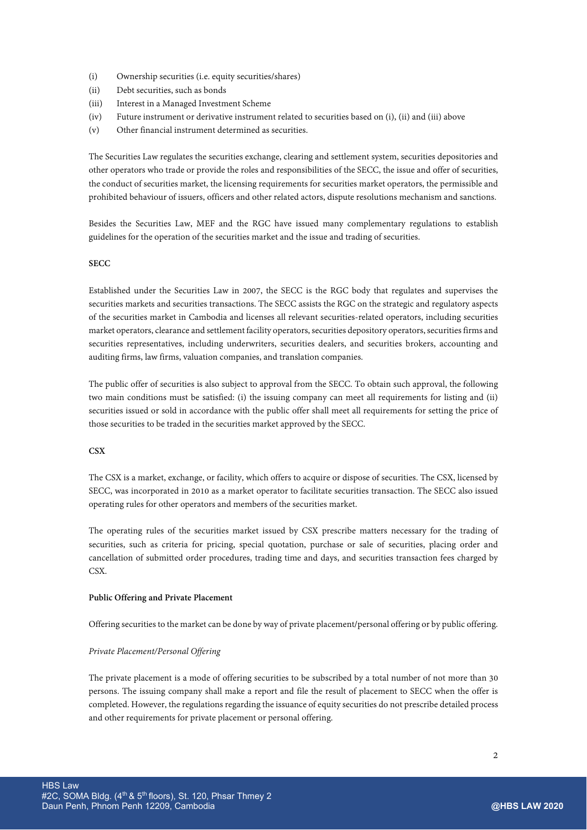- (i) Ownership securities (i.e. equity securities/shares)
- (ii) Debt securities, such as bonds
- (iii) Interest in a Managed Investment Scheme
- (iv) Future instrument or derivative instrument related to securities based on (i), (ii) and (iii) above
- (v) Other financial instrument determined as securities.

The Securities Law regulates the securities exchange, clearing and settlement system, securities depositories and other operators who trade or provide the roles and responsibilities of the SECC, the issue and offer of securities, the conduct of securities market, the licensing requirements for securities market operators, the permissible and prohibited behaviour of issuers, officers and other related actors, dispute resolutions mechanism and sanctions.

Besides the Securities Law, MEF and the RGC have issued many complementary regulations to establish guidelines for the operation of the securities market and the issue and trading of securities.

# **SECC**

Established under the Securities Law in 2007, the SECC is the RGC body that regulates and supervises the securities markets and securities transactions. The SECC assists the RGC on the strategic and regulatory aspects of the securities market in Cambodia and licenses all relevant securities-related operators, including securities market operators, clearance and settlement facility operators, securities depository operators, securities firms and securities representatives, including underwriters, securities dealers, and securities brokers, accounting and auditing firms, law firms, valuation companies, and translation companies.

The public offer of securities is also subject to approval from the SECC. To obtain such approval, the following two main conditions must be satisfied: (i) the issuing company can meet all requirements for listing and (ii) securities issued or sold in accordance with the public offer shall meet all requirements for setting the price of those securities to be traded in the securities market approved by the SECC.

#### **CSX**

The CSX is a market, exchange, or facility, which offers to acquire or dispose of securities. The CSX, licensed by SECC, was incorporated in 2010 as a market operator to facilitate securities transaction. The SECC also issued operating rules for other operators and members of the securities market.

The operating rules of the securities market issued by CSX prescribe matters necessary for the trading of securities, such as criteria for pricing, special quotation, purchase or sale of securities, placing order and cancellation of submitted order procedures, trading time and days, and securities transaction fees charged by CSX.

#### **Public Offering and Private Placement**

Offering securities to the market can be done by way of private placement/personal offering or by public offering.

#### *Private Placement/Personal Offering*

The private placement is a mode of offering securities to be subscribed by a total number of not more than 30 persons. The issuing company shall make a report and file the result of placement to SECC when the offer is completed. However, the regulations regarding the issuance of equity securities do not prescribe detailed process and other requirements for private placement or personal offering.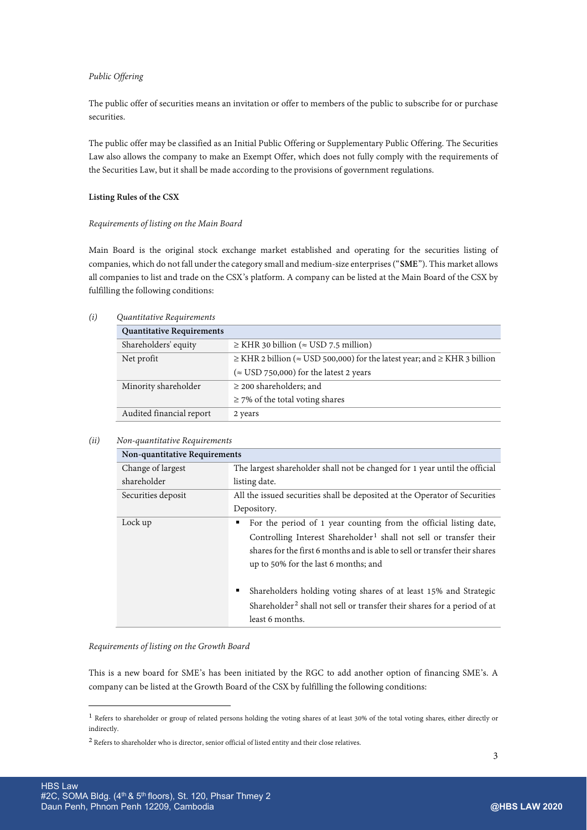# *Public Offering*

The public offer of securities means an invitation or offer to members of the public to subscribe for or purchase securities.

The public offer may be classified as an Initial Public Offering or Supplementary Public Offering. The Securities Law also allows the company to make an Exempt Offer, which does not fully comply with the requirements of the Securities Law, but it shall be made according to the provisions of government regulations.

# **Listing Rules of the CSX**

#### *Requirements of listing on the Main Board*

Main Board is the original stock exchange market established and operating for the securities listing of companies, which do not fall under the category small and medium-size enterprises ("**SME**"). This market allows all companies to list and trade on the CSX's platform. A company can be listed at the Main Board of the CSX by fulfilling the following conditions:

# *(i) Quantitative Requirements*

| <b>Quantitative Requirements</b> |                                                                                             |
|----------------------------------|---------------------------------------------------------------------------------------------|
| Shareholders' equity             | $\ge$ KHR 30 billion ( $\approx$ USD 7.5 million)                                           |
| Net profit                       | $\geq$ KHR 2 billion ( $\approx$ USD 500,000) for the latest year; and $\geq$ KHR 3 billion |
|                                  | ( $\approx$ USD 750,000) for the latest 2 years                                             |
| Minority shareholder             | $\geq$ 200 shareholders; and                                                                |
|                                  | $\geq$ 7% of the total voting shares                                                        |
| Audited financial report         | 2 years                                                                                     |

# *(ii) Non-quantitative Requirements*

| Non-quantitative Requirements |                                                                                                                                                                                                                                                                                |
|-------------------------------|--------------------------------------------------------------------------------------------------------------------------------------------------------------------------------------------------------------------------------------------------------------------------------|
| Change of largest             | The largest shareholder shall not be changed for 1 year until the official                                                                                                                                                                                                     |
| shareholder                   | listing date.                                                                                                                                                                                                                                                                  |
| Securities deposit            | All the issued securities shall be deposited at the Operator of Securities                                                                                                                                                                                                     |
|                               | Depository.                                                                                                                                                                                                                                                                    |
| Lock up                       | For the period of 1 year counting from the official listing date,<br>٠<br>Controlling Interest Shareholder <sup>1</sup> shall not sell or transfer their<br>shares for the first 6 months and is able to sell or transfer their shares<br>up to 50% for the last 6 months; and |
|                               | Shareholders holding voting shares of at least 15% and Strategic<br>٠<br>Shareholder <sup>2</sup> shall not sell or transfer their shares for a period of at<br>least 6 months.                                                                                                |

*Requirements of listing on the Growth Board*

This is a new board for SME's has been initiated by the RGC to add another option of financing SME's. A company can be listed at the Growth Board of the CSX by fulfilling the following conditions:

 $\overline{a}$ 

<span id="page-2-0"></span> $1$  Refers to shareholder or group of related persons holding the voting shares of at least 30% of the total voting shares, either directly or indirectly.

<span id="page-2-1"></span><sup>&</sup>lt;sup>2</sup> Refers to shareholder who is director, senior official of listed entity and their close relatives.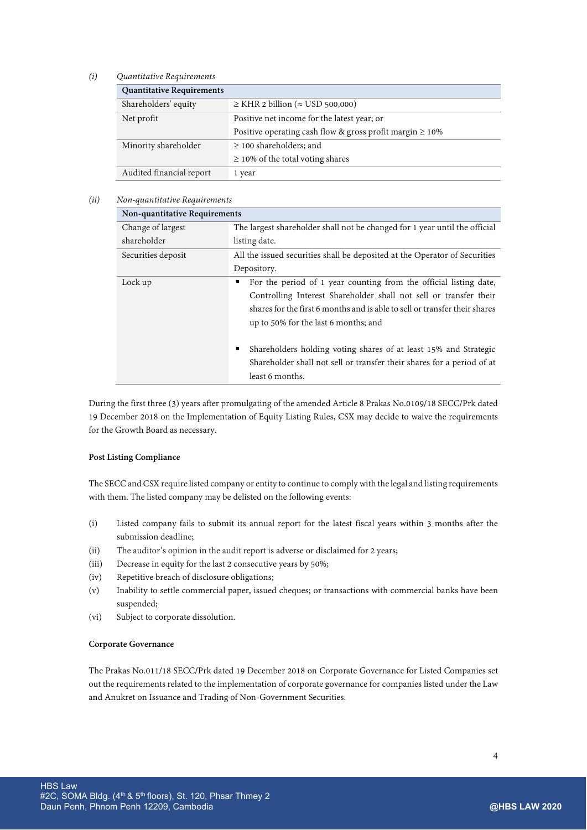# *(i) Quantitative Requirements*

| <b>Quantitative Requirements</b> |                                                                |
|----------------------------------|----------------------------------------------------------------|
| Shareholders' equity             | $\ge$ KHR 2 billion ( $\approx$ USD 500,000)                   |
| Net profit                       | Positive net income for the latest year; or                    |
|                                  | Positive operating cash flow & gross profit margin $\geq 10\%$ |
| Minority shareholder             | $\geq$ 100 shareholders; and                                   |
|                                  | $\geq$ 10% of the total voting shares                          |
| Audited financial report         | 1 year                                                         |

# *(ii) Non-quantitative Requirements*

| Non-quantitative Requirements |                                                                                                                                                                                                                                                                   |
|-------------------------------|-------------------------------------------------------------------------------------------------------------------------------------------------------------------------------------------------------------------------------------------------------------------|
| Change of largest             | The largest shareholder shall not be changed for 1 year until the official                                                                                                                                                                                        |
| shareholder                   | listing date.                                                                                                                                                                                                                                                     |
| Securities deposit            | All the issued securities shall be deposited at the Operator of Securities                                                                                                                                                                                        |
|                               | Depository.                                                                                                                                                                                                                                                       |
| Lock up                       | For the period of 1 year counting from the official listing date,<br>п<br>Controlling Interest Shareholder shall not sell or transfer their<br>shares for the first 6 months and is able to sell or transfer their shares<br>up to 50% for the last 6 months; and |
|                               | Shareholders holding voting shares of at least 15% and Strategic<br>٠<br>Shareholder shall not sell or transfer their shares for a period of at<br>least 6 months.                                                                                                |

During the first three (3) years after promulgating of the amended Article 8 Prakas No.0109/18 SECC/Prk dated 19 December 2018 on the Implementation of Equity Listing Rules, CSX may decide to waive the requirements for the Growth Board as necessary.

#### **Post Listing Compliance**

The SECC and CSX require listed company or entity to continue to comply with the legal and listing requirements with them. The listed company may be delisted on the following events:

- (i) Listed company fails to submit its annual report for the latest fiscal years within 3 months after the submission deadline;
- (ii) The auditor's opinion in the audit report is adverse or disclaimed for 2 years;
- (iii) Decrease in equity for the last 2 consecutive years by 50%;
- (iv) Repetitive breach of disclosure obligations;
- (v) Inability to settle commercial paper, issued cheques; or transactions with commercial banks have been suspended;
- (vi) Subject to corporate dissolution.

# **Corporate Governance**

The Prakas No.011/18 SECC/Prk dated 19 December 2018 on Corporate Governance for Listed Companies set out the requirements related to the implementation of corporate governance for companies listed under the Law and Anukret on Issuance and Trading of Non-Government Securities.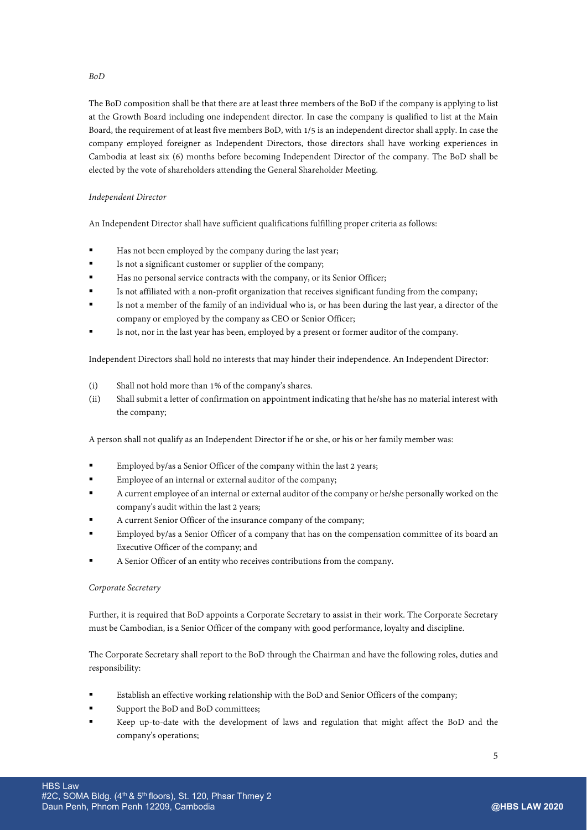The BoD composition shall be that there are at least three members of the BoD if the company is applying to list at the Growth Board including one independent director. In case the company is qualified to list at the Main Board, the requirement of at least five members BoD, with 1/5 is an independent director shall apply. In case the company employed foreigner as Independent Directors, those directors shall have working experiences in Cambodia at least six (6) months before becoming Independent Director of the company. The BoD shall be elected by the vote of shareholders attending the General Shareholder Meeting.

# *Independent Director*

An Independent Director shall have sufficient qualifications fulfilling proper criteria as follows:

- Has not been employed by the company during the last year;
- Is not a significant customer or supplier of the company;
- Has no personal service contracts with the company, or its Senior Officer;
- Is not affiliated with a non-profit organization that receives significant funding from the company;
- Is not a member of the family of an individual who is, or has been during the last year, a director of the company or employed by the company as CEO or Senior Officer;
- Is not, nor in the last year has been, employed by a present or former auditor of the company.

Independent Directors shall hold no interests that may hinder their independence. An Independent Director:

- (i) Shall not hold more than 1% of the company's shares.
- (ii) Shall submit a letter of confirmation on appointment indicating that he/she has no material interest with the company;

A person shall not qualify as an Independent Director if he or she, or his or her family member was:

- Employed by/as a Senior Officer of the company within the last 2 years;
- Employee of an internal or external auditor of the company;
- A current employee of an internal or external auditor of the company or he/she personally worked on the company's audit within the last 2 years;
- A current Senior Officer of the insurance company of the company;
- Employed by/as a Senior Officer of a company that has on the compensation committee of its board an Executive Officer of the company; and
- A Senior Officer of an entity who receives contributions from the company.

# *Corporate Secretary*

Further, it is required that BoD appoints a Corporate Secretary to assist in their work. The Corporate Secretary must be Cambodian, is a Senior Officer of the company with good performance, loyalty and discipline.

The Corporate Secretary shall report to the BoD through the Chairman and have the following roles, duties and responsibility:

- Establish an effective working relationship with the BoD and Senior Officers of the company;
- Support the BoD and BoD committees;
- Keep up-to-date with the development of laws and regulation that might affect the BoD and the company's operations;

# *BoD*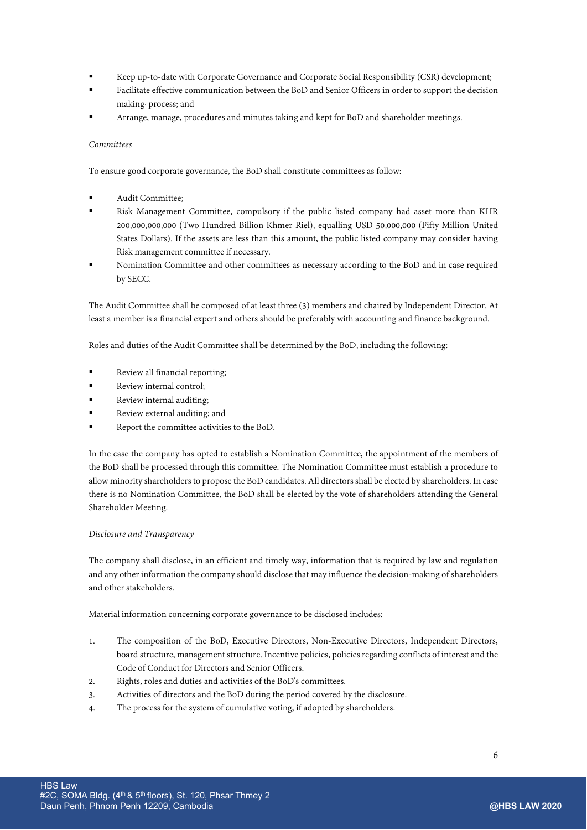- Keep up-to-date with Corporate Governance and Corporate Social Responsibility (CSR) development;
- Facilitate effective communication between the BoD and Senior Officers in order to support the decision making· process; and
- Arrange, manage, procedures and minutes taking and kept for BoD and shareholder meetings.

# *Committees*

To ensure good corporate governance, the BoD shall constitute committees as follow:

- Audit Committee;
- Risk Management Committee, compulsory if the public listed company had asset more than KHR 200,000,000,000 (Two Hundred Billion Khmer Riel), equalling USD 50,000,000 (Fifty Million United States Dollars). If the assets are less than this amount, the public listed company may consider having Risk management committee if necessary.
- Nomination Committee and other committees as necessary according to the BoD and in case required by SECC.

The Audit Committee shall be composed of at least three (3) members and chaired by Independent Director. At least a member is a financial expert and others should be preferably with accounting and finance background.

Roles and duties of the Audit Committee shall be determined by the BoD, including the following:

- Review all financial reporting;
- Review internal control;
- Review internal auditing;
- Review external auditing; and
- Report the committee activities to the BoD.

In the case the company has opted to establish a Nomination Committee, the appointment of the members of the BoD shall be processed through this committee. The Nomination Committee must establish a procedure to allow minority shareholders to propose the BoD candidates. All directors shall be elected by shareholders. In case there is no Nomination Committee, the BoD shall be elected by the vote of shareholders attending the General Shareholder Meeting.

# *Disclosure and Transparency*

The company shall disclose, in an efficient and timely way, information that is required by law and regulation and any other information the company should disclose that may influence the decision-making of shareholders and other stakeholders.

Material information concerning corporate governance to be disclosed includes:

- 1. The composition of the BoD, Executive Directors, Non-Executive Directors, Independent Directors, board structure, management structure. Incentive policies, policies regarding conflicts of interest and the Code of Conduct for Directors and Senior Officers.
- 2. Rights, roles and duties and activities of the BoD's committees.
- 3. Activities of directors and the BoD during the period covered by the disclosure.
- 4. The process for the system of cumulative voting, if adopted by shareholders.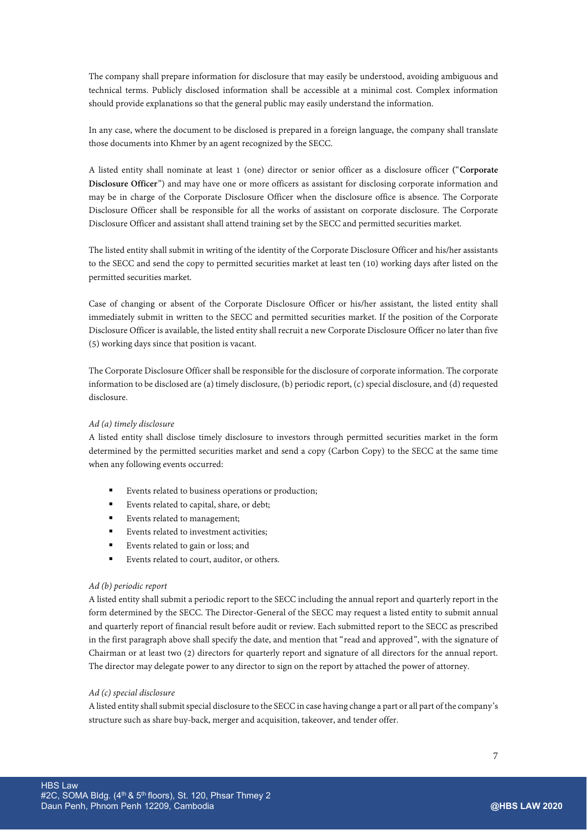The company shall prepare information for disclosure that may easily be understood, avoiding ambiguous and technical terms. Publicly disclosed information shall be accessible at a minimal cost. Complex information should provide explanations so that the general public may easily understand the information.

In any case, where the document to be disclosed is prepared in a foreign language, the company shall translate those documents into Khmer by an agent recognized by the SECC.

A listed entity shall nominate at least 1 (one) director or senior officer as a disclosure officer **(**"**Corporate Disclosure Officer**") and may have one or more officers as assistant for disclosing corporate information and may be in charge of the Corporate Disclosure Officer when the disclosure office is absence. The Corporate Disclosure Officer shall be responsible for all the works of assistant on corporate disclosure. The Corporate Disclosure Officer and assistant shall attend training set by the SECC and permitted securities market.

The listed entity shall submit in writing of the identity of the Corporate Disclosure Officer and his/her assistants to the SECC and send the copy to permitted securities market at least ten (10) working days after listed on the permitted securities market.

Case of changing or absent of the Corporate Disclosure Officer or his/her assistant, the listed entity shall immediately submit in written to the SECC and permitted securities market. If the position of the Corporate Disclosure Officer is available, the listed entity shall recruit a new Corporate Disclosure Officer no later than five (5) working days since that position is vacant.

The Corporate Disclosure Officer shall be responsible for the disclosure of corporate information. The corporate information to be disclosed are (a) timely disclosure, (b) periodic report, (c) special disclosure, and (d) requested disclosure.

# *Ad (a) timely disclosure*

A listed entity shall disclose timely disclosure to investors through permitted securities market in the form determined by the permitted securities market and send a copy (Carbon Copy) to the SECC at the same time when any following events occurred:

- Events related to business operations or production;
- Events related to capital, share, or debt;
- Events related to management;
- Events related to investment activities;
- Events related to gain or loss; and
- Events related to court, auditor, or others.

#### *Ad (b) periodic report*

A listed entity shall submit a periodic report to the SECC including the annual report and quarterly report in the form determined by the SECC. The Director-General of the SECC may request a listed entity to submit annual and quarterly report of financial result before audit or review. Each submitted report to the SECC as prescribed in the first paragraph above shall specify the date, and mention that "read and approved", with the signature of Chairman or at least two (2) directors for quarterly report and signature of all directors for the annual report. The director may delegate power to any director to sign on the report by attached the power of attorney.

#### *Ad (c) special disclosure*

A listed entity shall submit special disclosure to the SECC in case having change a part or all part of the company's structure such as share buy-back, merger and acquisition, takeover, and tender offer.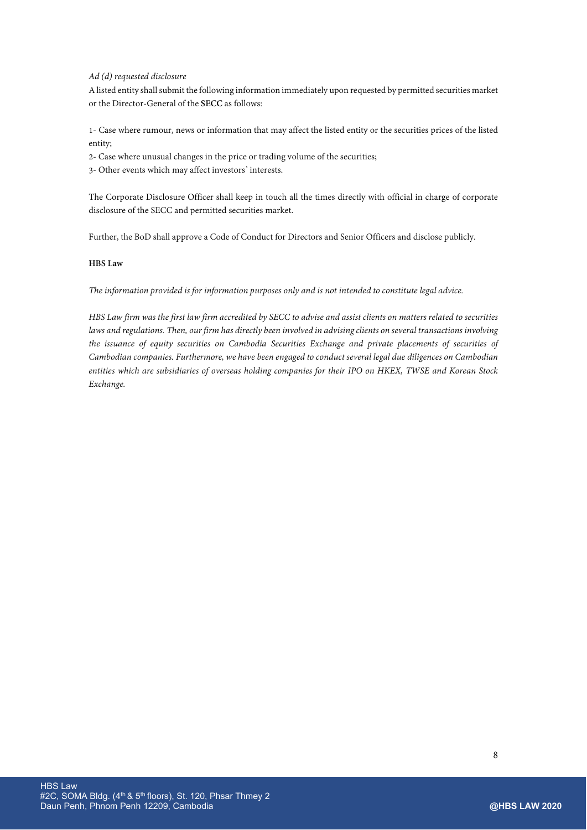# *Ad (d) requested disclosure*

A listed entity shall submit the following information immediately upon requested by permitted securities market or the Director-General of the **SECC** as follows:

1- Case where rumour, news or information that may affect the listed entity or the securities prices of the listed entity;

- 2- Case where unusual changes in the price or trading volume of the securities;
- 3- Other events which may affect investors' interests.

The Corporate Disclosure Officer shall keep in touch all the times directly with official in charge of corporate disclosure of the SECC and permitted securities market.

Further, the BoD shall approve a Code of Conduct for Directors and Senior Officers and disclose publicly.

# **HBS Law**

*The information provided is for information purposes only and is not intended to constitute legal advice.*

*HBS Law firm was the first law firm accredited by SECC to advise and assist clients on matters related to securities laws and regulations. Then, our firm has directly been involved in advising clients on several transactions involving the issuance of equity securities on Cambodia Securities Exchange and private placements of securities of Cambodian companies. Furthermore, we have been engaged to conduct several legal due diligences on Cambodian entities which are subsidiaries of overseas holding companies for their IPO on HKEX, TWSE and Korean Stock Exchange.*